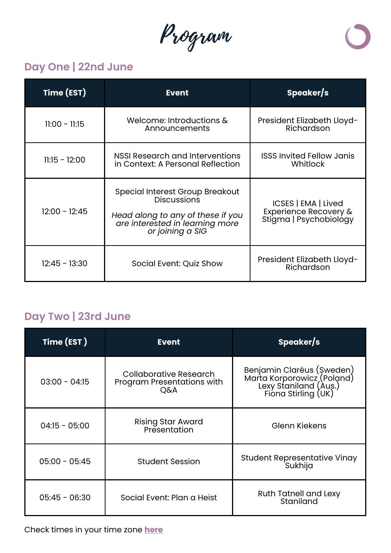Program



## **Day One | 22nd June**

| Time (EST)      | <b>Event</b>                                                                                                                                             | Speaker/s                                                              |
|-----------------|----------------------------------------------------------------------------------------------------------------------------------------------------------|------------------------------------------------------------------------|
| $11:00 - 11:15$ | Welcome: Introductions &<br>Announcements                                                                                                                | President Elizabeth Lloyd-<br>Richardson                               |
| $11:15 - 12:00$ | <b>NSSI Research and Interventions</b><br>in Context: A Personal Reflection                                                                              | <b>ISSS Invited Fellow Janis</b><br>Whitlock                           |
| $12:00 - 12:45$ | <b>Special Interest Group Breakout</b><br><b>Discussions</b><br>Head along to any of these if you<br>are interested in learning more<br>or joining a SIG | ICSES   EMA   Lived<br>Experience Recovery &<br>Stigma   Psychobiology |
| $12:45 - 13:30$ | Social Event: Quiz Show                                                                                                                                  | President Elizabeth Lloyd-<br>Richardson                               |

## **Day Two | 23rd June**

| Time (EST)      | <b>Event</b>                                                | Speaker/s                                                                                               |
|-----------------|-------------------------------------------------------------|---------------------------------------------------------------------------------------------------------|
| $03:00 - 04:15$ | Collaborative Research<br>Program Presentations with<br>Q&A | Benjamin Claréus (Șweden)<br>Marta Korporowicz (Poland)<br>Lexy Staniland (Aus.)<br>Fiona Stirling (UK) |
| $04:15 - 05:00$ | <b>Rising Star Award</b><br>Presentation                    | <b>Glenn Kiekens</b>                                                                                    |
| $05:00 - 05:45$ | <b>Student Session</b>                                      | <b>Student Representative Vinay</b><br><b>Sukhija</b>                                                   |
| $05:45 - 06:30$ | Social Event: Plan a Heist                                  | <b>Ruth Tatnell and Lexy</b><br>Staniland                                                               |